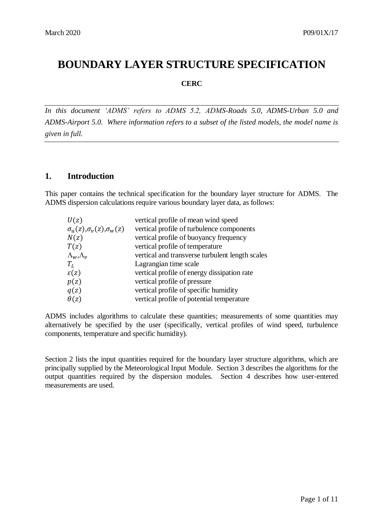# **BOUNDARY LAYER STRUCTURE SPECIFICATION**

**CERC**

*In this document 'ADMS' refers to ADMS 5.2, ADMS-Roads 5.0, ADMS-Urban 5.0 and ADMS-Airport 5.0. Where information refers to a subset of the listed models, the model name is given in full.*

## **1. Introduction**

This paper contains the technical specification for the boundary layer structure for ADMS. The ADMS dispersion calculations require various boundary layer data, as follows:

| U(z)                                    | vertical profile of mean wind speed             |
|-----------------------------------------|-------------------------------------------------|
| $\sigma_u(z), \sigma_v(z), \sigma_w(z)$ | vertical profile of turbulence components       |
| N(z)                                    | vertical profile of buoyancy frequency          |
| T(z)                                    | vertical profile of temperature                 |
| $\Lambda_w, \Lambda_v$                  | vertical and transverse turbulent length scales |
| $T_L$                                   | Lagrangian time scale                           |
| $\varepsilon(z)$                        | vertical profile of energy dissipation rate     |
| p(z)                                    | vertical profile of pressure                    |
| q(z)                                    | vertical profile of specific humidity           |
| $\theta(z)$                             | vertical profile of potential temperature       |

ADMS includes algorithms to calculate these quantities; measurements of some quantities may alternatively be specified by the user (specifically, vertical profiles of wind speed, turbulence components, temperature and specific humidity).

Section 2 lists the input quantities required for the boundary layer structure algorithms, which are principally supplied by the Meteorological Input Module. Section 3 describes the algorithms for the output quantities required by the dispersion modules. Section 4 describes how user-entered measurements are used.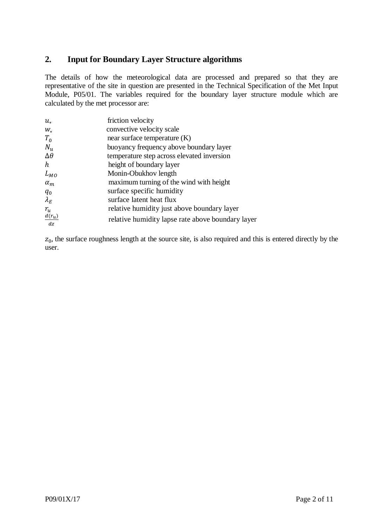# **2. Input for Boundary Layer Structure algorithms**

The details of how the meteorological data are processed and prepared so that they are representative of the site in question are presented in the Technical Specification of the Met Input Module, P05/01. The variables required for the boundary layer structure module which are calculated by the met processor are:

| $u_{*}$        | friction velocity                                 |
|----------------|---------------------------------------------------|
| $W_*$          | convective velocity scale                         |
| $T_0$          | near surface temperature $(K)$                    |
| $N_u$          | buoyancy frequency above boundary layer           |
| $\Delta\theta$ | temperature step across elevated inversion        |
| h              | height of boundary layer                          |
| $L_{MO}$       | Monin-Obukhov length                              |
| $\alpha_m$     | maximum turning of the wind with height           |
| $q_0$          | surface specific humidity                         |
| $\lambda_E$    | surface latent heat flux                          |
| $r_{u}$        | relative humidity just above boundary layer       |
| $d(r_u)$<br>dz | relative humidity lapse rate above boundary layer |

 $z<sub>0</sub>$ , the surface roughness length at the source site, is also required and this is entered directly by the user.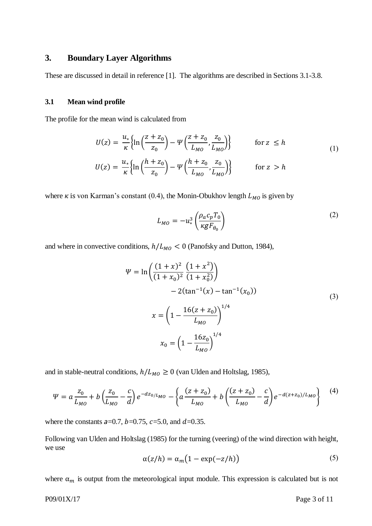### **3. Boundary Layer Algorithms**

These are discussed in detail in reference [1]. The algorithms are described in Sections 3.1-3.8.

#### **3.1 Mean wind profile**

The profile for the mean wind is calculated from

$$
U(z) = \frac{u_*}{\kappa} \left\{ \ln \left( \frac{z + z_0}{z_0} \right) - \Psi \left( \frac{z + z_0}{L_{MO}} \frac{z_0}{L_{MO}} \right) \right\} \qquad \text{for } z \le h
$$
  

$$
U(z) = \frac{u_*}{\kappa} \left\{ \ln \left( \frac{h + z_0}{z_0} \right) - \Psi \left( \frac{h + z_0}{L_{MO}} \frac{z_0}{L_{MO}} \right) \right\} \qquad \text{for } z > h
$$
 (1)

where  $\kappa$  is von Karman's constant (0.4), the Monin-Obukhov length  $L_{MO}$  is given by

$$
L_{MO} = -u_*^3 \left( \frac{\rho_a c_p T_0}{\kappa g F_{\theta_0}} \right) \tag{2}
$$

and where in convective conditions,  $h/L_{MO} < 0$  (Panofsky and Dutton, 1984),

$$
\Psi = \ln \left( \frac{(1+x)^2}{(1+x_0)^2} \frac{(1+x^2)}{(1+x_0^2)} \right)
$$
  
- 2(tan<sup>-1</sup>(x) - tan<sup>-1</sup>(x<sub>0</sub>))  

$$
x = \left( 1 - \frac{16(z+z_0)}{L_{M0}} \right)^{1/4}
$$
  

$$
x_0 = \left( 1 - \frac{16z_0}{L_{M0}} \right)^{1/4}
$$
 (3)

and in stable-neutral conditions,  $h/L_{MO} \ge 0$  (van Ulden and Holtslag, 1985),

$$
\Psi = a \frac{z_0}{L_{MO}} + b \left( \frac{z_0}{L_{MO}} - \frac{c}{d} \right) e^{-dz_0/L_{MO}} - \left\{ a \frac{(z+z_0)}{L_{MO}} + b \left( \frac{(z+z_0)}{L_{MO}} - \frac{c}{d} \right) e^{-d(z+z_0)/L_{MO}} \right\} \tag{4}
$$

where the constants  $a=0.7$ ,  $b=0.75$ ,  $c=5.0$ , and  $d=0.35$ .

Following van Ulden and Holtslag (1985) for the turning (veering) of the wind direction with height, we use

$$
\alpha(z/h) = \alpha_m \big( 1 - \exp(-z/h) \big) \tag{5}
$$

where  $\alpha_m$  is output from the meteorological input module. This expression is calculated but is not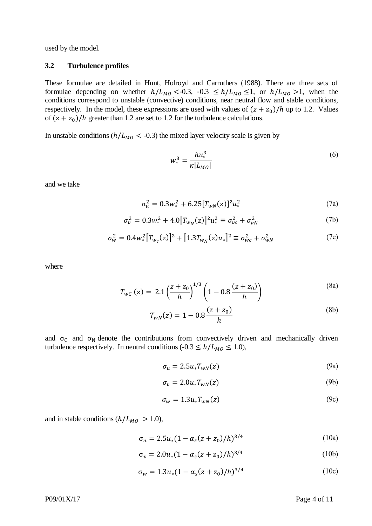used by the model.

#### **3.2 Turbulence profiles**

These formulae are detailed in Hunt, Holroyd and Carruthers (1988). There are three sets of formulae depending on whether  $h/L_{M0} < 0.3$ ,  $-0.3 \le h/L_{M0} \le 1$ , or  $h/L_{M0} > 1$ , when the conditions correspond to unstable (convective) conditions, near neutral flow and stable conditions, respectively. In the model, these expressions are used with values of  $(z + z_0)/h$  up to 1.2. Values of  $(z + z_0)/h$  greater than 1.2 are set to 1.2 for the turbulence calculations.

In unstable conditions  $(h/L_{MO} < -0.3)$  the mixed layer velocity scale is given by

$$
w_*^3 = \frac{hu_*^3}{\kappa |L_{MO}|} \tag{6}
$$

and we take

$$
\sigma_u^2 = 0.3w_*^2 + 6.25[T_{wN}(z)]^2 u_*^2 \tag{7a}
$$

$$
\sigma_v^2 = 0.3w_*^2 + 4.0[T_{w_N}(z)]^2 u_*^2 \equiv \sigma_{vc}^2 + \sigma_{vN}^2 \tag{7b}
$$

$$
\sigma_w^2 = 0.4 w_*^2 \left[ T_{w_c}(z) \right]^2 + \left[ 1.3 T_{w_N}(z) u_* \right]^2 \equiv \sigma_{wc}^2 + \sigma_{wN}^2 \tag{7c}
$$

where

$$
T_{WC} (z) = 2.1 \left(\frac{z + z_0}{h}\right)^{1/3} \left(1 - 0.8 \frac{(z + z_0)}{h}\right)
$$
 (8a)

$$
T_{wN}(z) = 1 - 0.8 \frac{(z + z_0)}{h}
$$
 (8b)

and  $\sigma_C$  and  $\sigma_N$  denote the contributions from convectively driven and mechanically driven turbulence respectively. In neutral conditions (- $0.3 \le h/L_{M0} \le 1.0$ ),

$$
\sigma_u = 2.5 u_* T_{wN}(z) \tag{9a}
$$

$$
\sigma_{\nu} = 2.0u_*T_{WN}(z) \tag{9b}
$$

$$
\sigma_{w} = 1.3 u_{*} T_{wN}(z) \tag{9c}
$$

and in stable conditions  $(h/L_{MO} > 1.0)$ ,

$$
\sigma_u = 2.5u_*(1 - \alpha_s(z + z_0)/h)^{3/4}
$$
 (10a)

$$
\sigma_{v} = 2.0u_{*}(1 - \alpha_{s}(z + z_{0})/h)^{3/4}
$$
 (10b)

$$
\sigma_w = 1.3u_*(1 - \alpha_s(z + z_0)/h)^{3/4}
$$
 (10c)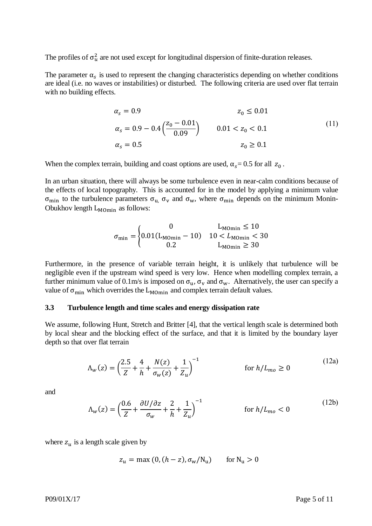The profiles of  $\sigma_u^2$  are not used except for longitudinal dispersion of finite-duration releases.

The parameter  $\alpha_s$  is used to represent the changing characteristics depending on whether conditions are ideal (i.e. no waves or instabilities) or disturbed. The following criteria are used over flat terrain with no building effects.

$$
\alpha_s = 0.9
$$
  
\n
$$
\alpha_s = 0.9 - 0.4 \left( \frac{z_0 - 0.01}{0.09} \right)
$$
  
\n
$$
\alpha_s = 0.5
$$
  
\n
$$
\alpha_s = 0.5
$$
  
\n
$$
\alpha_s = 0.5
$$
  
\n
$$
(11)
$$
  
\n
$$
z_0 \ge 0.1
$$
  
\n
$$
(12)
$$

When the complex terrain, building and coast options are used,  $\alpha_s = 0.5$  for all  $z_0$ .

In an urban situation, there will always be some turbulence even in near-calm conditions because of the effects of local topography. This is accounted for in the model by applying a minimum value  $\sigma_{\text{min}}$  to the turbulence parameters  $\sigma_{u}$ ,  $\sigma_{v}$  and  $\sigma_{w}$ , where  $\sigma_{\text{min}}$  depends on the minimum Monin-Obukhov length  $L_{MOMin}$  as follows:

$$
\sigma_{\min} = \begin{cases}\n0 & L_{\text{Momin}} \le 10 \\
0.01(L_{\text{Momin}} - 10) & 10 < L_{\text{Momin}} < 30 \\
0.2 & L_{\text{Momin}} \ge 30\n\end{cases}
$$

Furthermore, in the presence of variable terrain height, it is unlikely that turbulence will be negligible even if the upstream wind speed is very low. Hence when modelling complex terrain, a further minimum value of 0.1m/s is imposed on  $\sigma_u$ ,  $\sigma_v$  and  $\sigma_w$ . Alternatively, the user can specify a value of  $\sigma_{\text{min}}$  which overrides the  $L_{\text{MOMn}}$  and complex terrain default values.

#### **3.3 Turbulence length and time scales and energy dissipation rate**

We assume, following Hunt, Stretch and Britter [4], that the vertical length scale is determined both by local shear and the blocking effect of the surface, and that it is limited by the boundary layer depth so that over flat terrain

$$
\Lambda_w(z) = \left(\frac{2.5}{Z} + \frac{4}{h} + \frac{N(z)}{\sigma_w(z)} + \frac{1}{Z_u}\right)^{-1} \qquad \text{for } h/L_{mo} \ge 0
$$
\n(12a)

and

$$
\Lambda_w(z) = \left(\frac{0.6}{Z} + \frac{\partial U/\partial z}{\sigma_w} + \frac{2}{h} + \frac{1}{Z_u}\right)^{-1} \qquad \text{for } h/L_{mo} < 0 \tag{12b}
$$

where  $z_u$  is a length scale given by

$$
z_u = \max(0, (h - z), \sigma_w / N_u) \quad \text{for } N_u > 0
$$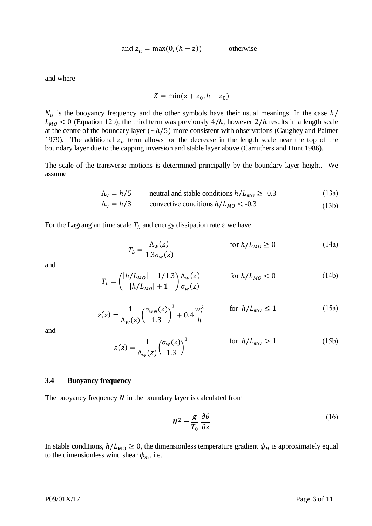and 
$$
z_u = \max(0, (h - z))
$$
 otherwise

and where

$$
Z = \min(z + z_0, h + z_0)
$$

 $N_u$  is the buoyancy frequency and the other symbols have their usual meanings. In the case  $h/$  $L_{MO}$  < 0 (Equation 12b), the third term was previously 4/h, however 2/h results in a length scale at the centre of the boundary layer  $(\sim h/5)$  more consistent with observations (Caughey and Palmer 1979). The additional  $z_u$  term allows for the decrease in the length scale near the top of the boundary layer due to the capping inversion and stable layer above (Carruthers and Hunt 1986).

The scale of the transverse motions is determined principally by the boundary layer height. We assume

$$
\Lambda_{\rm v} = h/5
$$
 neutral and stable conditions  $h/L_{M0} \ge -0.3$  (13a)

$$
\Lambda_{\rm v} = h/3
$$
consecutive conditions  $h/L_{M0} < -0.3$  (13b)

For the Lagrangian time scale  $T_L$  and energy dissipation rate  $\varepsilon$  we have

$$
T_L = \frac{\Lambda_w(z)}{1.3\sigma_w(z)} \qquad \qquad \text{for } h/L_{MO} \ge 0 \tag{14a}
$$

and

$$
T_L = \left(\frac{|h/L_{M0}| + 1/1.3}{|h/L_{M0}| + 1}\right) \frac{\Lambda_w(z)}{\sigma_w(z)} \qquad \text{for } h/L_{M0} < 0 \tag{14b}
$$

$$
\varepsilon(z) = \frac{1}{\Lambda_w(z)} \left(\frac{\sigma_{wN}(z)}{1.3}\right)^3 + 0.4 \frac{w_*^3}{h} \qquad \text{for } h/L_{MO} \le 1 \tag{15a}
$$

and

$$
\varepsilon(z) = \frac{1}{\Lambda_w(z)} \left(\frac{\sigma_w(z)}{1.3}\right)^3 \qquad \text{for } h/L_{MO} > 1 \qquad (15b)
$$

#### **3.4 Buoyancy frequency**

The buoyancy frequency  $N$  in the boundary layer is calculated from

$$
N^2 = \frac{g}{T_0} \frac{\partial \theta}{\partial z} \tag{16}
$$

In stable conditions,  $h/L_{\text{MO}} \geq 0$ , the dimensionless temperature gradient  $\phi_H$  is approximately equal to the dimensionless wind shear  $\phi_m$ , i.e.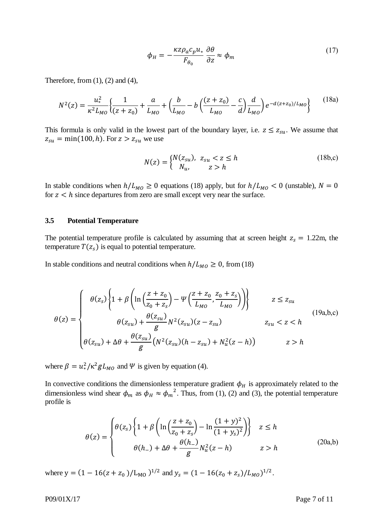$$
\phi_H = -\frac{\kappa z \rho_a c_p u_*}{F_{\theta_0}} \frac{\partial \theta}{\partial z} \approx \phi_m \tag{17}
$$

Therefore, from  $(1)$ ,  $(2)$  and  $(4)$ ,

$$
N^{2}(z) = \frac{u_{*}^{2}}{\kappa^{2}L_{MO}}\left\{\frac{1}{(z+z_{0})} + \frac{a}{L_{MO}} + \left(\frac{b}{L_{MO}} - b\left(\frac{(z+z_{0})}{L_{MO}} - \frac{c}{d}\right)\frac{d}{L_{MO}}\right)e^{-d(z+z_{0})/L_{MO}}\right\}
$$
(18a)

This formula is only valid in the lowest part of the boundary layer, i.e.  $z \le z_{su}$ . We assume that  $z_{su} = \min(100, h)$ . For  $z > z_{su}$  we use

$$
N(z) = \begin{cases} N(z_{su}), & z_{su} < z \le h \\ N_u, & z > h \end{cases} \tag{18b,c}
$$

In stable conditions when  $h/L_{MO} \ge 0$  equations (18) apply, but for  $h/L_{MO} < 0$  (unstable),  $N = 0$ for  $z < h$  since departures from zero are small except very near the surface.

#### **3.5 Potential Temperature**

The potential temperature profile is calculated by assuming that at screen height  $z_s = 1.22$ m, the temperature  $T(z_s)$  is equal to potential temperature.

In stable conditions and neutral conditions when  $h/L_{MO} \ge 0$ , from (18)

$$
\theta(z) = \begin{cases}\n\theta(z_s) \left\{ 1 + \beta \left( \ln \left( \frac{z + z_0}{z_0 + z_s} \right) - \Psi \left( \frac{z + z_0}{L_{MO}}, \frac{z_0 + z_s}{L_{MO}} \right) \right) \right\} & z \le z_{su} \\
\theta(z_{su}) + \frac{\theta(z_{su})}{g} N^2(z_{su})(z - z_{su}) & z_{su} < z < h \\
\theta(z_{su}) + \Delta \theta + \frac{\theta(z_{su})}{g} \left( N^2(z_{su})(h - z_{su}) + N_u^2(z - h) \right) & z > h\n\end{cases} \tag{19a,b,c}
$$

where  $\beta = u_*^2 / \kappa^2 g L_{M0}$  and  $\Psi$  is given by equation (4).

In convective conditions the dimensionless temperature gradient  $\phi_H$  is approximately related to the dimensionless wind shear  $\phi_m$  as  $\phi_H \approx \phi_m^2$ . Thus, from (1), (2) and (3), the potential temperature profile is

$$
\theta(z) = \begin{cases} \theta(z_s) \left\{ 1 + \beta \left( \ln \left( \frac{z + z_0}{z_0 + z_s} \right) - \ln \frac{(1 + y)^2}{(1 + y_s)^2} \right) \right\} & z \le h \\ \theta(h_-) + \Delta \theta + \frac{\theta(h_-)}{g} N_u^2(z - h) & z > h \end{cases} \tag{20a,b}
$$

where  $y = (1 - 16(z + z_0))/L_{M_O}$   $)^{1/2}$  and  $y_s = (1 - 16(z_0 + z_s)/L_{M_O})^{1/2}$ .

P09/01X/17 Page 7 of 11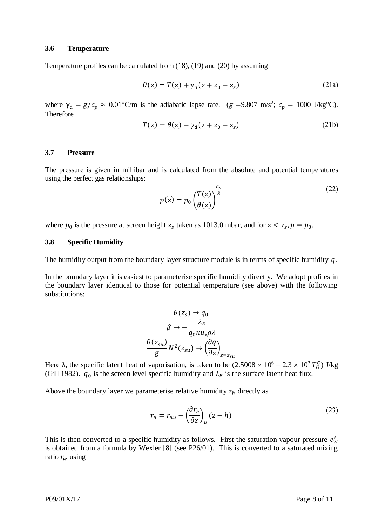#### **3.6 Temperature**

Temperature profiles can be calculated from (18), (19) and (20) by assuming

$$
\theta(z) = T(z) + \gamma_d (z + z_0 - z_s) \tag{21a}
$$

where  $\gamma_d = g/c_p \approx 0.01^{\circ}$ C/m is the adiabatic lapse rate.  $(g = 9.807 \text{ m/s}^2; c_p = 1000 \text{ J/kg}^{\circ}$ C). Therefore

$$
T(z) = \theta(z) - \gamma_d(z + z_0 - z_s)
$$
 (21b)

#### **3.7 Pressure**

The pressure is given in millibar and is calculated from the absolute and potential temperatures using the perfect gas relationships:

$$
p(z) = p_0 \left(\frac{T(z)}{\theta(z)}\right)^{\frac{c_p}{R}}
$$
 (22)

where  $p_0$  is the pressure at screen height  $z_s$  taken as 1013.0 mbar, and for  $z < z_s$ ,  $p = p_0$ .

#### **3.8 Specific Humidity**

The humidity output from the boundary layer structure module is in terms of specific humidity  $q$ .

In the boundary layer it is easiest to parameterise specific humidity directly. We adopt profiles in the boundary layer identical to those for potential temperature (see above) with the following substitutions:

$$
\theta(z_s) \to q_0
$$

$$
\beta \to -\frac{\lambda_E}{q_0 \kappa u_* \rho \lambda}
$$

$$
\frac{\theta(z_{su})}{g} N^2(z_{su}) \to \left(\frac{\partial q}{\partial z}\right)_{z=z_{su}}
$$

Here  $\lambda$ , the specific latent heat of vaporisation, is taken to be  $(2.5008 \times 10^6 - 2.3 \times 10^3 T_0^c)$  J/kg (Gill 1982).  $q_0$  is the screen level specific humidity and  $\lambda_E$  is the surface latent heat flux.

Above the boundary layer we parameterise relative humidity  $r_h$  directly as

$$
r_h = r_{hu} + \left(\frac{\partial r_h}{\partial z}\right)_u (z - h) \tag{23}
$$

This is then converted to a specific humidity as follows. First the saturation vapour pressure  $e'_{w}$ is obtained from a formula by Wexler [8] (see P26/01). This is converted to a saturated mixing ratio  $r_w$  using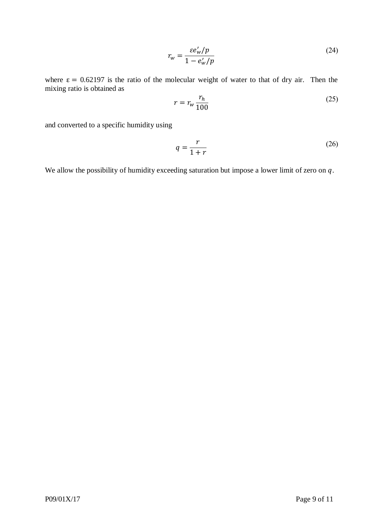$$
r_w = \frac{\varepsilon e_w'/p}{1 - e_w'/p} \tag{24}
$$

where  $\epsilon = 0.62197$  is the ratio of the molecular weight of water to that of dry air. Then the mixing ratio is obtained as

$$
r = r_w \frac{r_h}{100} \tag{25}
$$

and converted to a specific humidity using

$$
q = \frac{r}{1+r} \tag{26}
$$

We allow the possibility of humidity exceeding saturation but impose a lower limit of zero on  $q$ .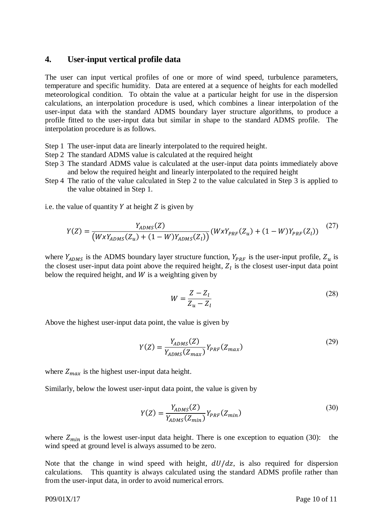### **4. User-input vertical profile data**

The user can input vertical profiles of one or more of wind speed, turbulence parameters, temperature and specific humidity. Data are entered at a sequence of heights for each modelled meteorological condition. To obtain the value at a particular height for use in the dispersion calculations, an interpolation procedure is used, which combines a linear interpolation of the user-input data with the standard ADMS boundary layer structure algorithms, to produce a profile fitted to the user-input data but similar in shape to the standard ADMS profile. The interpolation procedure is as follows.

- Step 1 The user-input data are linearly interpolated to the required height.
- Step 2 The standard ADMS value is calculated at the required height
- Step 3 The standard ADMS value is calculated at the user-input data points immediately above and below the required height and linearly interpolated to the required height
- Step 4 The ratio of the value calculated in Step 2 to the value calculated in Step 3 is applied to the value obtained in Step 1.

i.e. the value of quantity  $Y$  at height  $Z$  is given by

$$
Y(Z) = \frac{Y_{ADMS}(Z)}{(W \times Y_{ADMS}(Z_u) + (1 - W)Y_{ADMS}(Z_l))} (W \times Y_{PRF}(Z_u) + (1 - W)Y_{PRF}(Z_l))
$$
 (27)

where  $Y_{ADMS}$  is the ADMS boundary layer structure function,  $Y_{PRF}$  is the user-input profile,  $Z_u$  is the closest user-input data point above the required height,  $Z_l$  is the closest user-input data point below the required height, and  $W$  is a weighting given by

$$
W = \frac{Z - Z_l}{Z_u - Z_l} \tag{28}
$$

Above the highest user-input data point, the value is given by

$$
Y(Z) = \frac{Y_{ADMS}(Z)}{Y_{ADMS}(Z_{max})} Y_{PRF}(Z_{max})
$$
\n(29)

where  $Z_{max}$  is the highest user-input data height.

Similarly, below the lowest user-input data point, the value is given by

$$
Y(Z) = \frac{Y_{ADMS}(Z)}{Y_{ADMS}(Z_{min})} Y_{PRF}(Z_{min})
$$
\n(30)

where  $Z_{min}$  is the lowest user-input data height. There is one exception to equation (30): the wind speed at ground level is always assumed to be zero.

Note that the change in wind speed with height,  $dU/dz$ , is also required for dispersion calculations. This quantity is always calculated using the standard ADMS profile rather than from the user-input data, in order to avoid numerical errors.